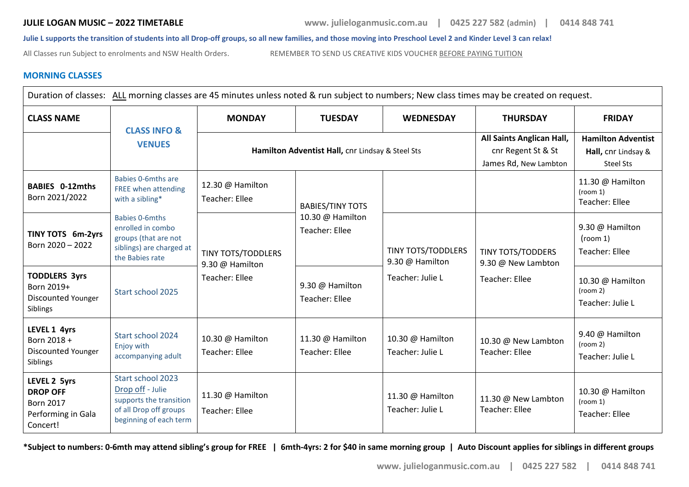**JULIE LOGAN MUSIC – 2022 TIMETABLE www. julieloganmusic.com.au | 0425 227 582 (admin) | 0414 848 741**

**Julie L supports the transition of students into all Drop-off groups, so all new families, and those moving into Preschool Level 2 and Kinder Level 3 can relax!**

All Classes run Subject to enrolments and NSW Health Orders. REMEMBER TO SEND US CREATIVE KIDS VOUCHER BEFORE PAYING TUITION

## **MORNING CLASSES**

| Duration of classes: ALL morning classes are 45 minutes unless noted & run subject to numbers; New class times may be created on request. |                                                                                                                      |                                                  |                                           |                                                                  |                                                                          |                                                               |  |
|-------------------------------------------------------------------------------------------------------------------------------------------|----------------------------------------------------------------------------------------------------------------------|--------------------------------------------------|-------------------------------------------|------------------------------------------------------------------|--------------------------------------------------------------------------|---------------------------------------------------------------|--|
| <b>CLASS NAME</b>                                                                                                                         |                                                                                                                      | <b>MONDAY</b>                                    | <b>TUESDAY</b>                            | <b>WEDNESDAY</b>                                                 | <b>THURSDAY</b>                                                          | <b>FRIDAY</b>                                                 |  |
|                                                                                                                                           | <b>CLASS INFO &amp;</b><br><b>VENUES</b>                                                                             | Hamilton Adventist Hall, cnr Lindsay & Steel Sts |                                           |                                                                  | All Saints Anglican Hall,<br>cnr Regent St & St<br>James Rd, New Lambton | <b>Hamilton Adventist</b><br>Hall, cnr Lindsay &<br>Steel Sts |  |
| <b>BABIES 0-12mths</b><br>Born 2021/2022                                                                                                  | Babies 0-6mths are<br>FREE when attending<br>with a sibling*                                                         | 12.30 @ Hamilton<br>Teacher: Ellee               | <b>BABIES/TINY TOTS</b>                   |                                                                  |                                                                          | 11.30 @ Hamilton<br>(room 1)<br><b>Teacher: Ellee</b>         |  |
| TINY TOTS 6m-2yrs<br>Born 2020 - 2022                                                                                                     | <b>Babies 0-6mths</b><br>enrolled in combo<br>groups (that are not<br>siblings) are charged at<br>the Babies rate    | <b>TINY TOTS/TODDLERS</b><br>9.30 @ Hamilton     | 10.30 @ Hamilton<br><b>Teacher: Ellee</b> | <b>TINY TOTS/TODDLERS</b><br>9.30 @ Hamilton<br>Teacher: Julie L | <b>TINY TOTS/TODDERS</b><br>9.30 @ New Lambton<br>Teacher: Ellee         | 9.30 @ Hamilton<br>(room 1)<br>Teacher: Ellee                 |  |
| <b>TODDLERS 3yrs</b><br>Born 2019+<br>Discounted Younger<br>Siblings                                                                      | Start school 2025                                                                                                    | Teacher: Ellee                                   | 9.30 @ Hamilton<br>Teacher: Ellee         |                                                                  |                                                                          | 10.30 @ Hamilton<br>(room 2)<br>Teacher: Julie L              |  |
| LEVEL 1 4yrs<br>Born 2018 +<br>Discounted Younger<br>Siblings                                                                             | Start school 2024<br>Enjoy with<br>accompanying adult                                                                | 10.30 @ Hamilton<br><b>Teacher: Ellee</b>        | 11.30 @ Hamilton<br>Teacher: Ellee        | 10.30 @ Hamilton<br>Teacher: Julie L                             | 10.30 @ New Lambton<br>Teacher: Ellee                                    | 9.40 @ Hamilton<br>(room 2)<br>Teacher: Julie L               |  |
| LEVEL 2 5yrs<br><b>DROP OFF</b><br><b>Born 2017</b><br>Performing in Gala<br>Concert!                                                     | Start school 2023<br>Drop off - Julie<br>supports the transition<br>of all Drop off groups<br>beginning of each term | 11.30 @ Hamilton<br>Teacher: Ellee               |                                           | 11.30 @ Hamilton<br>Teacher: Julie L                             | 11.30 @ New Lambton<br>Teacher: Ellee                                    | 10.30 @ Hamilton<br>(room 1)<br>Teacher: Ellee                |  |

**\*Subject to numbers: 0-6mth may attend sibling's group for FREE | 6mth-4yrs: 2 for \$40 in same morning group | Auto Discount applies for siblings in different groups**